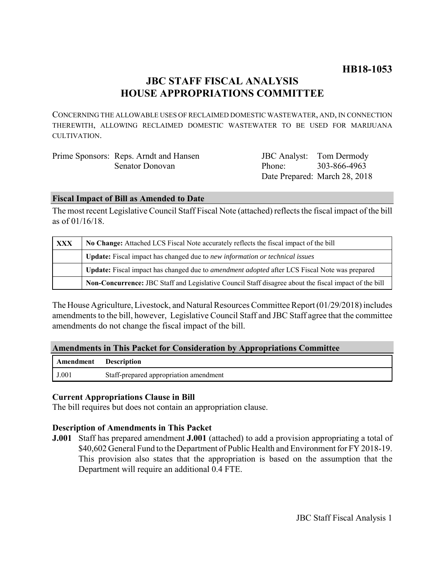# **HB18-1053**

# **JBC STAFF FISCAL ANALYSIS HOUSE APPROPRIATIONS COMMITTEE**

CONCERNING THE ALLOWABLE USES OF RECLAIMED DOMESTIC WASTEWATER, AND, IN CONNECTION THEREWITH, ALLOWING RECLAIMED DOMESTIC WASTEWATER TO BE USED FOR MARIJUANA CULTIVATION.

| Prime Sponsors: Reps. Arndt and Hansen | <b>JBC</b> Analyst: Tom Dermody |                               |
|----------------------------------------|---------------------------------|-------------------------------|
| Senator Donovan                        | Phone: 303-866-4963             |                               |
|                                        |                                 | Date Prepared: March 28, 2018 |

#### **Fiscal Impact of Bill as Amended to Date**

The most recent Legislative Council Staff Fiscal Note (attached) reflects the fiscal impact of the bill as of 01/16/18.

| <b>XXX</b> | No Change: Attached LCS Fiscal Note accurately reflects the fiscal impact of the bill                 |  |
|------------|-------------------------------------------------------------------------------------------------------|--|
|            | Update: Fiscal impact has changed due to new information or technical issues                          |  |
|            | Update: Fiscal impact has changed due to <i>amendment adopted</i> after LCS Fiscal Note was prepared  |  |
|            | Non-Concurrence: JBC Staff and Legislative Council Staff disagree about the fiscal impact of the bill |  |

The House Agriculture, Livestock, and Natural Resources Committee Report (01/29/2018) includes amendments to the bill, however, Legislative Council Staff and JBC Staff agree that the committee amendments do not change the fiscal impact of the bill.

# **Amendments in This Packet for Consideration by Appropriations Committee**

| Amendment | ' Description                          |
|-----------|----------------------------------------|
| J.001     | Staff-prepared appropriation amendment |

# **Current Appropriations Clause in Bill**

The bill requires but does not contain an appropriation clause.

# **Description of Amendments in This Packet**

**J.001** Staff has prepared amendment **J.001** (attached) to add a provision appropriating a total of \$40,602 General Fund to the Department of Public Health and Environment for FY 2018-19. This provision also states that the appropriation is based on the assumption that the Department will require an additional 0.4 FTE.